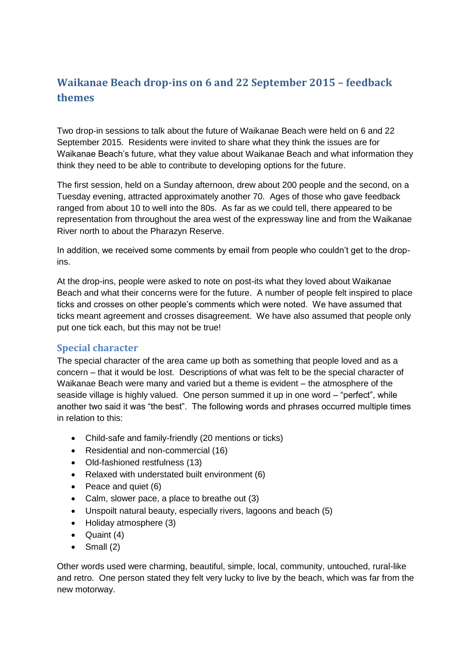# **Waikanae Beach drop-ins on 6 and 22 September 2015 – feedback themes**

Two drop-in sessions to talk about the future of Waikanae Beach were held on 6 and 22 September 2015. Residents were invited to share what they think the issues are for Waikanae Beach's future, what they value about Waikanae Beach and what information they think they need to be able to contribute to developing options for the future.

The first session, held on a Sunday afternoon, drew about 200 people and the second, on a Tuesday evening, attracted approximately another 70. Ages of those who gave feedback ranged from about 10 to well into the 80s. As far as we could tell, there appeared to be representation from throughout the area west of the expressway line and from the Waikanae River north to about the Pharazyn Reserve.

In addition, we received some comments by email from people who couldn't get to the dropins.

At the drop-ins, people were asked to note on post-its what they loved about Waikanae Beach and what their concerns were for the future. A number of people felt inspired to place ticks and crosses on other people's comments which were noted. We have assumed that ticks meant agreement and crosses disagreement. We have also assumed that people only put one tick each, but this may not be true!

#### **Special character**

The special character of the area came up both as something that people loved and as a concern – that it would be lost. Descriptions of what was felt to be the special character of Waikanae Beach were many and varied but a theme is evident – the atmosphere of the seaside village is highly valued. One person summed it up in one word – "perfect", while another two said it was "the best". The following words and phrases occurred multiple times in relation to this:

- Child-safe and family-friendly (20 mentions or ticks)
- Residential and non-commercial (16)
- Old-fashioned restfulness (13)
- Relaxed with understated built environment (6)
- Peace and quiet (6)
- Calm, slower pace, a place to breathe out (3)
- Unspoilt natural beauty, especially rivers, lagoons and beach (5)
- Holiday atmosphere (3)
- $\bullet$  Quaint (4)
- $\bullet$  Small (2)

Other words used were charming, beautiful, simple, local, community, untouched, rural-like and retro. One person stated they felt very lucky to live by the beach, which was far from the new motorway.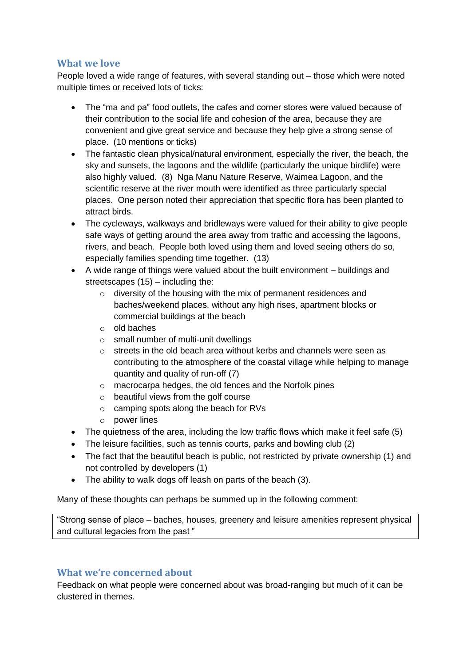#### **What we love**

People loved a wide range of features, with several standing out – those which were noted multiple times or received lots of ticks:

- The "ma and pa" food outlets, the cafes and corner stores were valued because of their contribution to the social life and cohesion of the area, because they are convenient and give great service and because they help give a strong sense of place. (10 mentions or ticks)
- The fantastic clean physical/natural environment, especially the river, the beach, the sky and sunsets, the lagoons and the wildlife (particularly the unique birdlife) were also highly valued. (8) Nga Manu Nature Reserve, Waimea Lagoon, and the scientific reserve at the river mouth were identified as three particularly special places. One person noted their appreciation that specific flora has been planted to attract birds.
- The cycleways, walkways and bridleways were valued for their ability to give people safe ways of getting around the area away from traffic and accessing the lagoons, rivers, and beach. People both loved using them and loved seeing others do so, especially families spending time together. (13)
- A wide range of things were valued about the built environment buildings and streetscapes (15) – including the:
	- o diversity of the housing with the mix of permanent residences and baches/weekend places, without any high rises, apartment blocks or commercial buildings at the beach
	- o old baches
	- o small number of multi-unit dwellings
	- $\circ$  streets in the old beach area without kerbs and channels were seen as contributing to the atmosphere of the coastal village while helping to manage quantity and quality of run-off (7)
	- o macrocarpa hedges, the old fences and the Norfolk pines
	- o beautiful views from the golf course
	- o camping spots along the beach for RVs
	- o power lines
- The quietness of the area, including the low traffic flows which make it feel safe (5)
- The leisure facilities, such as tennis courts, parks and bowling club (2)
- The fact that the beautiful beach is public, not restricted by private ownership (1) and not controlled by developers (1)
- The ability to walk dogs off leash on parts of the beach (3).

Many of these thoughts can perhaps be summed up in the following comment:

"Strong sense of place – baches, houses, greenery and leisure amenities represent physical and cultural legacies from the past "

### **What we're concerned about**

Feedback on what people were concerned about was broad-ranging but much of it can be clustered in themes.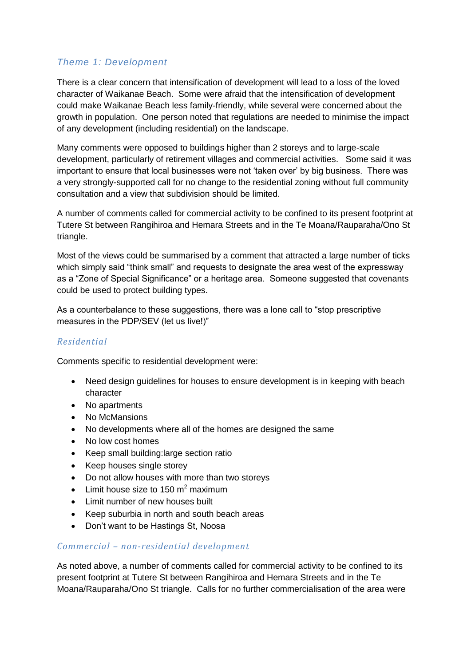## *Theme 1: Development*

There is a clear concern that intensification of development will lead to a loss of the loved character of Waikanae Beach. Some were afraid that the intensification of development could make Waikanae Beach less family-friendly, while several were concerned about the growth in population. One person noted that regulations are needed to minimise the impact of any development (including residential) on the landscape.

Many comments were opposed to buildings higher than 2 storeys and to large-scale development, particularly of retirement villages and commercial activities. Some said it was important to ensure that local businesses were not 'taken over' by big business. There was a very strongly-supported call for no change to the residential zoning without full community consultation and a view that subdivision should be limited.

A number of comments called for commercial activity to be confined to its present footprint at Tutere St between Rangihiroa and Hemara Streets and in the Te Moana/Rauparaha/Ono St triangle.

Most of the views could be summarised by a comment that attracted a large number of ticks which simply said "think small" and requests to designate the area west of the expressway as a "Zone of Special Significance" or a heritage area. Someone suggested that covenants could be used to protect building types.

As a counterbalance to these suggestions, there was a lone call to "stop prescriptive measures in the PDP/SEV (let us live!)"

#### *Residential*

Comments specific to residential development were:

- Need design guidelines for houses to ensure development is in keeping with beach character
- No apartments
- No McMansions
- No developments where all of the homes are designed the same
- No low cost homes
- Keep small building: large section ratio
- Keep houses single storey
- Do not allow houses with more than two storeys
- $\bullet$  Limit house size to 150 m<sup>2</sup> maximum
- Limit number of new houses built
- Keep suburbia in north and south beach areas
- Don't want to be Hastings St, Noosa

#### *Commercial – non-residential development*

As noted above, a number of comments called for commercial activity to be confined to its present footprint at Tutere St between Rangihiroa and Hemara Streets and in the Te Moana/Rauparaha/Ono St triangle. Calls for no further commercialisation of the area were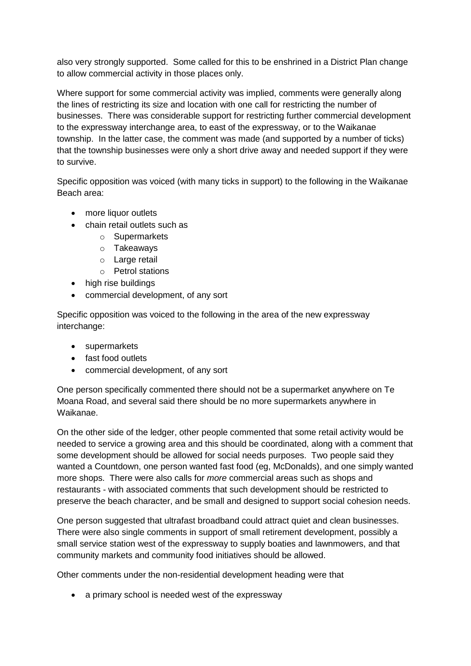also very strongly supported. Some called for this to be enshrined in a District Plan change to allow commercial activity in those places only.

Where support for some commercial activity was implied, comments were generally along the lines of restricting its size and location with one call for restricting the number of businesses. There was considerable support for restricting further commercial development to the expressway interchange area, to east of the expressway, or to the Waikanae township. In the latter case, the comment was made (and supported by a number of ticks) that the township businesses were only a short drive away and needed support if they were to survive.

Specific opposition was voiced (with many ticks in support) to the following in the Waikanae Beach area:

- more liquor outlets
- chain retail outlets such as
	- o Supermarkets
	- o Takeaways
	- o Large retail
	- o Petrol stations
- high rise buildings
- commercial development, of any sort

Specific opposition was voiced to the following in the area of the new expressway interchange:

- supermarkets
- fast food outlets
- commercial development, of any sort

One person specifically commented there should not be a supermarket anywhere on Te Moana Road, and several said there should be no more supermarkets anywhere in Waikanae.

On the other side of the ledger, other people commented that some retail activity would be needed to service a growing area and this should be coordinated, along with a comment that some development should be allowed for social needs purposes. Two people said they wanted a Countdown, one person wanted fast food (eg, McDonalds), and one simply wanted more shops. There were also calls for *more* commercial areas such as shops and restaurants - with associated comments that such development should be restricted to preserve the beach character, and be small and designed to support social cohesion needs.

One person suggested that ultrafast broadband could attract quiet and clean businesses. There were also single comments in support of small retirement development, possibly a small service station west of the expressway to supply boaties and lawnmowers, and that community markets and community food initiatives should be allowed.

Other comments under the non-residential development heading were that

• a primary school is needed west of the expressway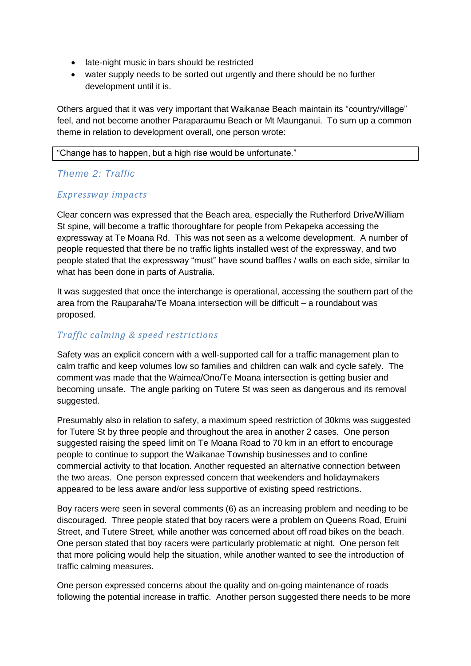- late-night music in bars should be restricted
- water supply needs to be sorted out urgently and there should be no further development until it is.

Others argued that it was very important that Waikanae Beach maintain its "country/village" feel, and not become another Paraparaumu Beach or Mt Maunganui. To sum up a common theme in relation to development overall, one person wrote:

"Change has to happen, but a high rise would be unfortunate."

### *Theme 2: Traffic*

#### *Expressway impacts*

Clear concern was expressed that the Beach area, especially the Rutherford Drive/William St spine, will become a traffic thoroughfare for people from Pekapeka accessing the expressway at Te Moana Rd. This was not seen as a welcome development. A number of people requested that there be no traffic lights installed west of the expressway, and two people stated that the expressway "must" have sound baffles / walls on each side, similar to what has been done in parts of Australia.

It was suggested that once the interchange is operational, accessing the southern part of the area from the Rauparaha/Te Moana intersection will be difficult – a roundabout was proposed.

### *Traffic calming & speed restrictions*

Safety was an explicit concern with a well-supported call for a traffic management plan to calm traffic and keep volumes low so families and children can walk and cycle safely. The comment was made that the Waimea/Ono/Te Moana intersection is getting busier and becoming unsafe. The angle parking on Tutere St was seen as dangerous and its removal suggested.

Presumably also in relation to safety, a maximum speed restriction of 30kms was suggested for Tutere St by three people and throughout the area in another 2 cases. One person suggested raising the speed limit on Te Moana Road to 70 km in an effort to encourage people to continue to support the Waikanae Township businesses and to confine commercial activity to that location. Another requested an alternative connection between the two areas. One person expressed concern that weekenders and holidaymakers appeared to be less aware and/or less supportive of existing speed restrictions.

Boy racers were seen in several comments (6) as an increasing problem and needing to be discouraged. Three people stated that boy racers were a problem on Queens Road, Eruini Street, and Tutere Street, while another was concerned about off road bikes on the beach. One person stated that boy racers were particularly problematic at night. One person felt that more policing would help the situation, while another wanted to see the introduction of traffic calming measures.

One person expressed concerns about the quality and on-going maintenance of roads following the potential increase in traffic. Another person suggested there needs to be more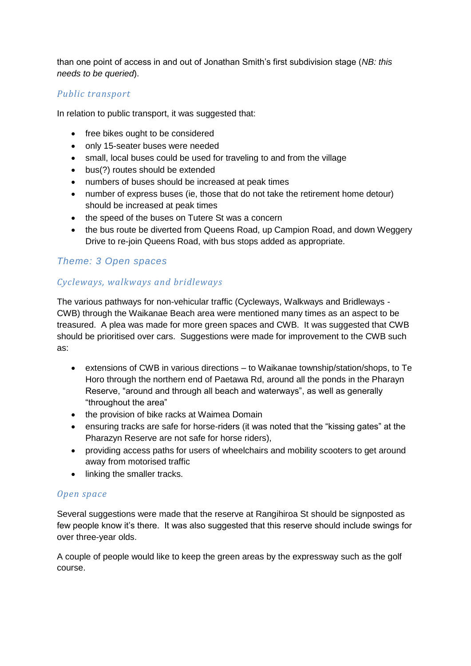than one point of access in and out of Jonathan Smith's first subdivision stage (*NB: this needs to be queried*).

#### *Public transport*

In relation to public transport, it was suggested that:

- free bikes ought to be considered
- only 15-seater buses were needed
- small, local buses could be used for traveling to and from the village
- bus(?) routes should be extended
- numbers of buses should be increased at peak times
- number of express buses (ie, those that do not take the retirement home detour) should be increased at peak times
- the speed of the buses on Tutere St was a concern
- the bus route be diverted from Queens Road, up Campion Road, and down Weggery Drive to re-join Queens Road, with bus stops added as appropriate.

### *Theme: 3 Open spaces*

# *Cycleways, walkways and bridleways*

The various pathways for non-vehicular traffic (Cycleways, Walkways and Bridleways - CWB) through the Waikanae Beach area were mentioned many times as an aspect to be treasured. A plea was made for more green spaces and CWB. It was suggested that CWB should be prioritised over cars. Suggestions were made for improvement to the CWB such as:

- extensions of CWB in various directions to Waikanae township/station/shops, to Te Horo through the northern end of Paetawa Rd, around all the ponds in the Pharayn Reserve, "around and through all beach and waterways", as well as generally "throughout the area"
- the provision of bike racks at Waimea Domain
- ensuring tracks are safe for horse-riders (it was noted that the "kissing gates" at the Pharazyn Reserve are not safe for horse riders),
- providing access paths for users of wheelchairs and mobility scooters to get around away from motorised traffic
- linking the smaller tracks.

### *Open space*

Several suggestions were made that the reserve at Rangihiroa St should be signposted as few people know it's there. It was also suggested that this reserve should include swings for over three-year olds.

A couple of people would like to keep the green areas by the expressway such as the golf course.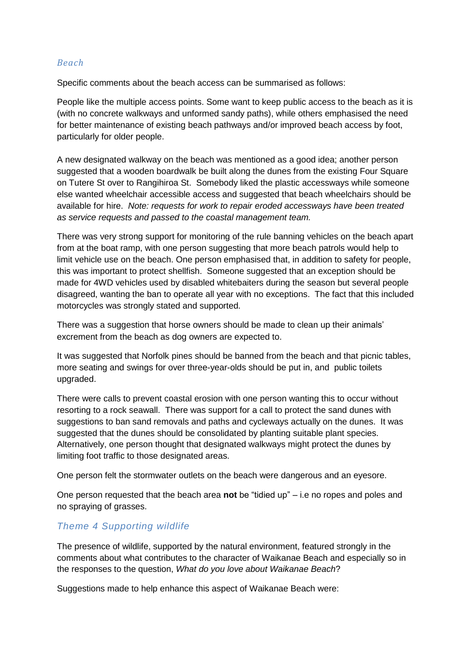#### *Beach*

Specific comments about the beach access can be summarised as follows:

People like the multiple access points. Some want to keep public access to the beach as it is (with no concrete walkways and unformed sandy paths), while others emphasised the need for better maintenance of existing beach pathways and/or improved beach access by foot, particularly for older people.

A new designated walkway on the beach was mentioned as a good idea; another person suggested that a wooden boardwalk be built along the dunes from the existing Four Square on Tutere St over to Rangihiroa St. Somebody liked the plastic accessways while someone else wanted wheelchair accessible access and suggested that beach wheelchairs should be available for hire. *Note: requests for work to repair eroded accessways have been treated as service requests and passed to the coastal management team.*

There was very strong support for monitoring of the rule banning vehicles on the beach apart from at the boat ramp, with one person suggesting that more beach patrols would help to limit vehicle use on the beach. One person emphasised that, in addition to safety for people, this was important to protect shellfish. Someone suggested that an exception should be made for 4WD vehicles used by disabled whitebaiters during the season but several people disagreed, wanting the ban to operate all year with no exceptions. The fact that this included motorcycles was strongly stated and supported.

There was a suggestion that horse owners should be made to clean up their animals' excrement from the beach as dog owners are expected to.

It was suggested that Norfolk pines should be banned from the beach and that picnic tables, more seating and swings for over three-year-olds should be put in, and public toilets upgraded.

There were calls to prevent coastal erosion with one person wanting this to occur without resorting to a rock seawall. There was support for a call to protect the sand dunes with suggestions to ban sand removals and paths and cycleways actually on the dunes. It was suggested that the dunes should be consolidated by planting suitable plant species. Alternatively, one person thought that designated walkways might protect the dunes by limiting foot traffic to those designated areas.

One person felt the stormwater outlets on the beach were dangerous and an eyesore.

One person requested that the beach area **not** be "tidied up" – i.e no ropes and poles and no spraying of grasses.

### *Theme 4 Supporting wildlife*

The presence of wildlife, supported by the natural environment, featured strongly in the comments about what contributes to the character of Waikanae Beach and especially so in the responses to the question, *What do you love about Waikanae Beach*?

Suggestions made to help enhance this aspect of Waikanae Beach were: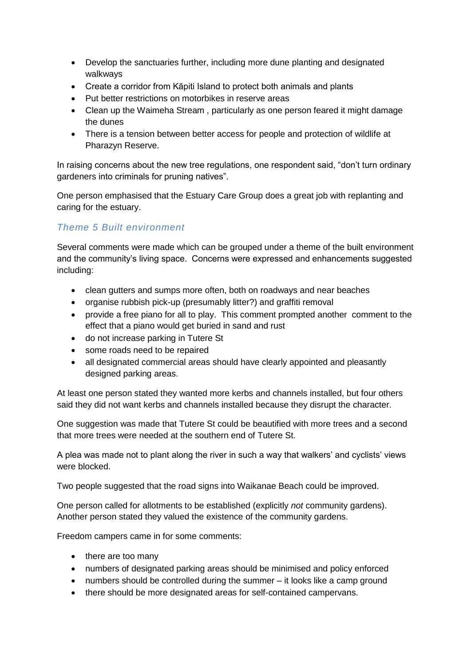- Develop the sanctuaries further, including more dune planting and designated walkways
- Create a corridor from Kāpiti Island to protect both animals and plants
- Put better restrictions on motorbikes in reserve areas
- Clean up the Waimeha Stream , particularly as one person feared it might damage the dunes
- There is a tension between better access for people and protection of wildlife at Pharazyn Reserve.

In raising concerns about the new tree regulations, one respondent said, "don't turn ordinary gardeners into criminals for pruning natives".

One person emphasised that the Estuary Care Group does a great job with replanting and caring for the estuary.

# *Theme 5 Built environment*

Several comments were made which can be grouped under a theme of the built environment and the community's living space. Concerns were expressed and enhancements suggested including:

- clean gutters and sumps more often, both on roadways and near beaches
- organise rubbish pick-up (presumably litter?) and graffiti removal
- provide a free piano for all to play. This comment prompted another comment to the effect that a piano would get buried in sand and rust
- do not increase parking in Tutere St
- some roads need to be repaired
- all designated commercial areas should have clearly appointed and pleasantly designed parking areas.

At least one person stated they wanted more kerbs and channels installed, but four others said they did not want kerbs and channels installed because they disrupt the character.

One suggestion was made that Tutere St could be beautified with more trees and a second that more trees were needed at the southern end of Tutere St.

A plea was made not to plant along the river in such a way that walkers' and cyclists' views were blocked.

Two people suggested that the road signs into Waikanae Beach could be improved.

One person called for allotments to be established (explicitly *not* community gardens). Another person stated they valued the existence of the community gardens.

Freedom campers came in for some comments:

- there are too many
- numbers of designated parking areas should be minimised and policy enforced
- numbers should be controlled during the summer it looks like a camp ground
- there should be more designated areas for self-contained campervans.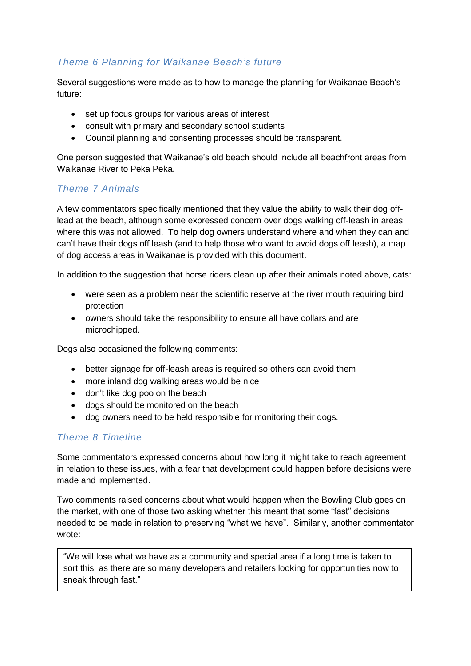# *Theme 6 Planning for Waikanae Beach's future*

Several suggestions were made as to how to manage the planning for Waikanae Beach's future:

- set up focus groups for various areas of interest
- consult with primary and secondary school students
- Council planning and consenting processes should be transparent.

One person suggested that Waikanae's old beach should include all beachfront areas from Waikanae River to Peka Peka.

### *Theme 7 Animals*

A few commentators specifically mentioned that they value the ability to walk their dog offlead at the beach, although some expressed concern over dogs walking off-leash in areas where this was not allowed. To help dog owners understand where and when they can and can't have their dogs off leash (and to help those who want to avoid dogs off leash), a map of dog access areas in Waikanae is provided with this document.

In addition to the suggestion that horse riders clean up after their animals noted above, cats:

- were seen as a problem near the scientific reserve at the river mouth requiring bird protection
- owners should take the responsibility to ensure all have collars and are microchipped.

Dogs also occasioned the following comments:

- better signage for off-leash areas is required so others can avoid them
- more inland dog walking areas would be nice
- don't like dog poo on the beach
- dogs should be monitored on the beach
- dog owners need to be held responsible for monitoring their dogs.

### *Theme 8 Timeline*

Some commentators expressed concerns about how long it might take to reach agreement in relation to these issues, with a fear that development could happen before decisions were made and implemented.

Two comments raised concerns about what would happen when the Bowling Club goes on the market, with one of those two asking whether this meant that some "fast" decisions needed to be made in relation to preserving "what we have". Similarly, another commentator wrote:

*Miscellaneous comments* sort this, as there are so many developers and retailers looking for opportunities now to "We will lose what we have as a community and special area if a long time is taken to sneak through fast."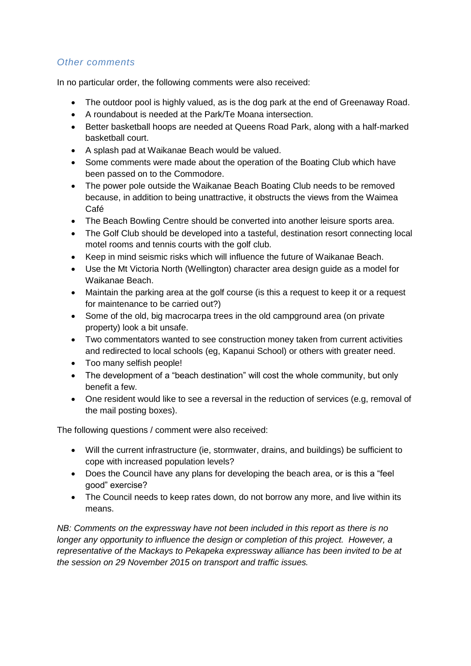### *Other comments*

In no particular order, the following comments were also received:

- The outdoor pool is highly valued, as is the dog park at the end of Greenaway Road.
- A roundabout is needed at the Park/Te Moana intersection.
- Better basketball hoops are needed at Queens Road Park, along with a half-marked basketball court.
- A splash pad at Waikanae Beach would be valued.
- Some comments were made about the operation of the Boating Club which have been passed on to the Commodore.
- The power pole outside the Waikanae Beach Boating Club needs to be removed because, in addition to being unattractive, it obstructs the views from the Waimea Café
- The Beach Bowling Centre should be converted into another leisure sports area.
- The Golf Club should be developed into a tasteful, destination resort connecting local motel rooms and tennis courts with the golf club.
- Keep in mind seismic risks which will influence the future of Waikanae Beach.
- Use the Mt Victoria North (Wellington) character area design guide as a model for Waikanae Beach.
- Maintain the parking area at the golf course (is this a request to keep it or a request for maintenance to be carried out?)
- Some of the old, big macrocarpa trees in the old campground area (on private property) look a bit unsafe.
- Two commentators wanted to see construction money taken from current activities and redirected to local schools (eg, Kapanui School) or others with greater need.
- Too many selfish people!
- The development of a "beach destination" will cost the whole community, but only benefit a few.
- One resident would like to see a reversal in the reduction of services (e.g, removal of the mail posting boxes).

The following questions / comment were also received:

- Will the current infrastructure (ie, stormwater, drains, and buildings) be sufficient to cope with increased population levels?
- Does the Council have any plans for developing the beach area, or is this a "feel good" exercise?
- The Council needs to keep rates down, do not borrow any more, and live within its means.

*NB: Comments on the expressway have not been included in this report as there is no longer any opportunity to influence the design or completion of this project. However, a representative of the Mackays to Pekapeka expressway alliance has been invited to be at the session on 29 November 2015 on transport and traffic issues.*